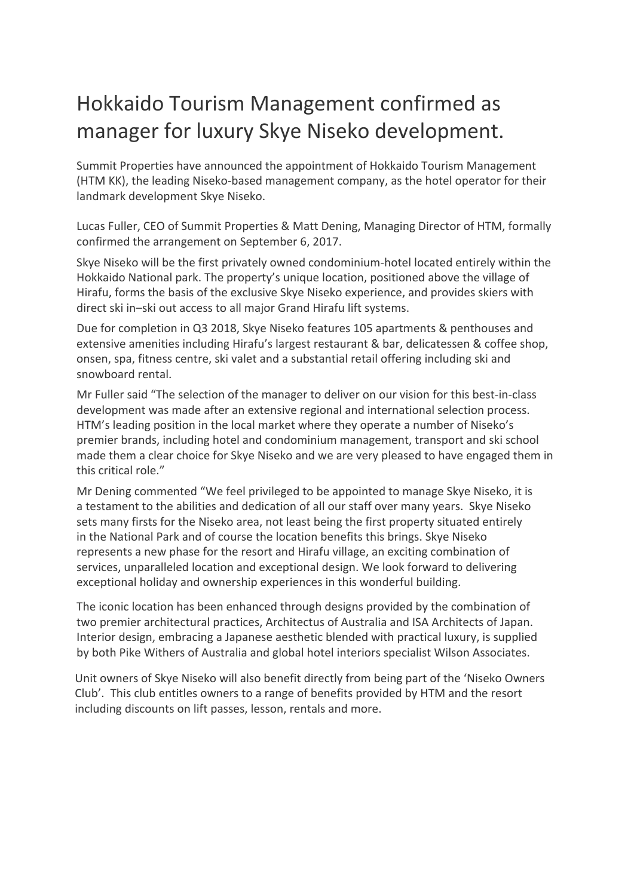## Hokkaido Tourism Management confirmed as manager for luxury Skye Niseko development.

Summit Properties have announced the appointment of Hokkaido Tourism Management (HTM KK), the leading Niseko-based management company, as the hotel operator for their landmark development Skye Niseko.

Lucas Fuller, CEO of Summit Properties & Matt Dening, Managing Director of HTM, formally confirmed the arrangement on September 6, 2017.

Skye Niseko will be the first privately owned condominium-hotel located entirely within the Hokkaido National park. The property's unique location, positioned above the village of Hirafu, forms the basis of the exclusive Skye Niseko experience, and provides skiers with direct ski in–ski out access to all major Grand Hirafu lift systems.

Due for completion in Q3 2018, Skye Niseko features 105 apartments & penthouses and extensive amenities including Hirafu's largest restaurant & bar, delicatessen & coffee shop, onsen, spa, fitness centre, ski valet and a substantial retail offering including ski and snowboard rental.

Mr Fuller said "The selection of the manager to deliver on our vision for this best-in-class development was made after an extensive regional and international selection process. HTM's leading position in the local market where they operate a number of Niseko's premier brands, including hotel and condominium management, transport and ski school made them a clear choice for Skye Niseko and we are very pleased to have engaged them in this critical role."

Mr Dening commented "We feel privileged to be appointed to manage Skye Niseko, it is a testament to the abilities and dedication of all our staff over many years. Skye Niseko sets many firsts for the Niseko area, not least being the first property situated entirely in the National Park and of course the location benefits this brings. Skye Niseko represents a new phase for the resort and Hirafu village, an exciting combination of services, unparalleled location and exceptional design. We look forward to delivering exceptional holiday and ownership experiences in this wonderful building.

The iconic location has been enhanced through designs provided by the combination of two premier architectural practices, Architectus of Australia and ISA Architects of Japan. Interior design, embracing a Japanese aesthetic blended with practical luxury, is supplied by both Pike Withers of Australia and global hotel interiors specialist Wilson Associates.

Unit owners of Skye Niseko will also benefit directly from being part of the 'Niseko Owners Club'. This club entitles owners to a range of benefits provided by HTM and the resort including discounts on lift passes, lesson, rentals and more.